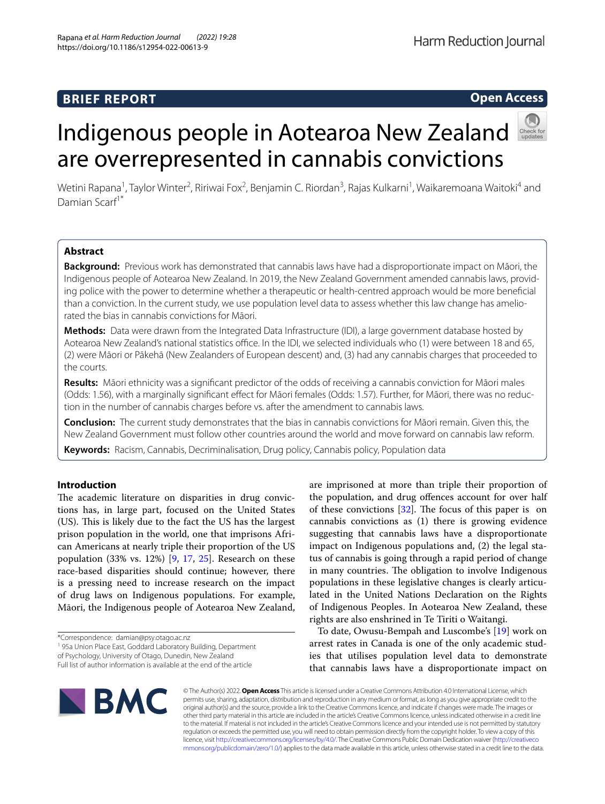# **BRIEF REPORT**

# Indigenous people in Aotearoa New Zealand are overrepresented in cannabis convictions

Wetini Rapana<sup>1</sup>, Taylor Winter<sup>2</sup>, Ririwai Fox<sup>2</sup>, Benjamin C. Riordan<sup>3</sup>, Rajas Kulkarni<sup>1</sup>, Waikaremoana Waitoki<sup>4</sup> and Damian Scarf<sup>1\*</sup>

# **Abstract**

**Background:** Previous work has demonstrated that cannabis laws have had a disproportionate impact on Māori, the Indigenous people of Aotearoa New Zealand. In 2019, the New Zealand Government amended cannabis laws, providing police with the power to determine whether a therapeutic or health-centred approach would be more benefcial than a conviction. In the current study, we use population level data to assess whether this law change has ameliorated the bias in cannabis convictions for Māori.

**Methods:** Data were drawn from the Integrated Data Infrastructure (IDI), a large government database hosted by Aotearoa New Zealand's national statistics office. In the IDI, we selected individuals who (1) were between 18 and 65, (2) were Māori or Pākehā (New Zealanders of European descent) and, (3) had any cannabis charges that proceeded to the courts.

**Results:** Māori ethnicity was a signifcant predictor of the odds of receiving a cannabis conviction for Māori males (Odds: 1.56), with a marginally signifcant efect for Māori females (Odds: 1.57). Further, for Māori, there was no reduction in the number of cannabis charges before vs. after the amendment to cannabis laws.

**Conclusion:** The current study demonstrates that the bias in cannabis convictions for Māori remain. Given this, the New Zealand Government must follow other countries around the world and move forward on cannabis law reform.

**Keywords:** Racism, Cannabis, Decriminalisation, Drug policy, Cannabis policy, Population data

# **Introduction**

The academic literature on disparities in drug convictions has, in large part, focused on the United States (US). This is likely due to the fact the US has the largest prison population in the world, one that imprisons African Americans at nearly triple their proportion of the US population (33% vs. 12%) [\[9](#page-4-0), [17,](#page-4-1) [25](#page-4-2)]. Research on these race-based disparities should continue; however, there is a pressing need to increase research on the impact of drug laws on Indigenous populations. For example, Māori, the Indigenous people of Aotearoa New Zealand,

\*Correspondence: damian@psy.otago.ac.nz

<sup>1</sup> 95a Union Place East, Goddard Laboratory Building, Department

of Psychology, University of Otago, Dunedin, New Zealand

are imprisoned at more than triple their proportion of the population, and drug ofences account for over half of these convictions  $[32]$  $[32]$ . The focus of this paper is on cannabis convictions as (1) there is growing evidence suggesting that cannabis laws have a disproportionate impact on Indigenous populations and, (2) the legal status of cannabis is going through a rapid period of change in many countries. The obligation to involve Indigenous populations in these legislative changes is clearly articulated in the United Nations Declaration on the Rights of Indigenous Peoples. In Aotearoa New Zealand, these rights are also enshrined in Te Tiriti o Waitangi.

To date, Owusu-Bempah and Luscombe's [[19\]](#page-4-4) work on arrest rates in Canada is one of the only academic studies that utilises population level data to demonstrate that cannabis laws have a disproportionate impact on

© The Author(s) 2022. **Open Access** This article is licensed under a Creative Commons Attribution 4.0 International License, which permits use, sharing, adaptation, distribution and reproduction in any medium or format, as long as you give appropriate credit to the original author(s) and the source, provide a link to the Creative Commons licence, and indicate if changes were made. The images or other third party material in this article are included in the article's Creative Commons licence, unless indicated otherwise in a credit line to the material. If material is not included in the article's Creative Commons licence and your intended use is not permitted by statutory regulation or exceeds the permitted use, you will need to obtain permission directly from the copyright holder. To view a copy of this licence, visit [http://creativecommons.org/licenses/by/4.0/.](http://creativecommons.org/licenses/by/4.0/) The Creative Commons Public Domain Dedication waiver ([http://creativeco](http://creativecommons.org/publicdomain/zero/1.0/) [mmons.org/publicdomain/zero/1.0/](http://creativecommons.org/publicdomain/zero/1.0/)) applies to the data made available in this article, unless otherwise stated in a credit line to the data.





**Open Access**

Full list of author information is available at the end of the article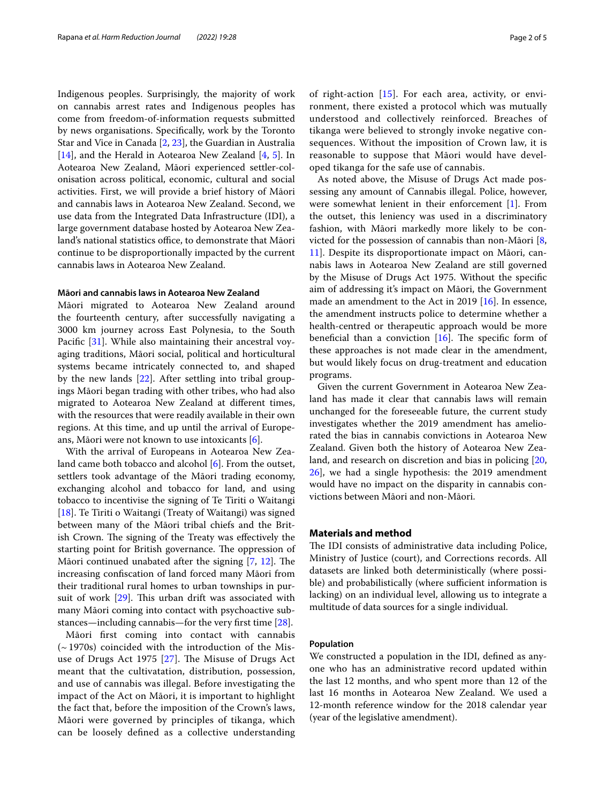Indigenous peoples. Surprisingly, the majority of work on cannabis arrest rates and Indigenous peoples has come from freedom-of-information requests submitted by news organisations. Specifcally, work by the Toronto Star and Vice in Canada [[2,](#page-4-5) [23](#page-4-6)], the Guardian in Australia [[14\]](#page-4-7), and the Herald in Aotearoa New Zealand [[4,](#page-4-8) [5](#page-4-9)]. In Aotearoa New Zealand, Māori experienced settler-colonisation across political, economic, cultural and social activities. First, we will provide a brief history of Māori and cannabis laws in Aotearoa New Zealand. Second, we use data from the Integrated Data Infrastructure (IDI), a large government database hosted by Aotearoa New Zealand's national statistics office, to demonstrate that Māori continue to be disproportionally impacted by the current cannabis laws in Aotearoa New Zealand.

## **Māori and cannabis laws in Aotearoa New Zealand**

Māori migrated to Aotearoa New Zealand around the fourteenth century, after successfully navigating a 3000 km journey across East Polynesia, to the South Pacific [\[31](#page-4-10)]. While also maintaining their ancestral voyaging traditions, Māori social, political and horticultural systems became intricately connected to, and shaped by the new lands [\[22](#page-4-11)]. After settling into tribal groupings Māori began trading with other tribes, who had also migrated to Aotearoa New Zealand at diferent times, with the resources that were readily available in their own regions. At this time, and up until the arrival of Europeans, Māori were not known to use intoxicants [\[6](#page-4-12)].

With the arrival of Europeans in Aotearoa New Zea-land came both tobacco and alcohol [[6\]](#page-4-12). From the outset, settlers took advantage of the Māori trading economy, exchanging alcohol and tobacco for land, and using tobacco to incentivise the signing of Te Tiriti o Waitangi [[18\]](#page-4-13). Te Tiriti o Waitangi (Treaty of Waitangi) was signed between many of the Māori tribal chiefs and the British Crown. The signing of the Treaty was effectively the starting point for British governance. The oppression of Māori continued unabated after the signing  $[7, 12]$  $[7, 12]$  $[7, 12]$  $[7, 12]$  $[7, 12]$ . The increasing confscation of land forced many Māori from their traditional rural homes to urban townships in pursuit of work  $[29]$  $[29]$ . This urban drift was associated with many Māori coming into contact with psychoactive substances—including cannabis—for the very frst time [\[28](#page-4-17)].

Māori frst coming into contact with cannabis (~1970s) coincided with the introduction of the Mis-use of Drugs Act 1975 [[27\]](#page-4-18). The Misuse of Drugs Act meant that the cultivatation, distribution, possession, and use of cannabis was illegal. Before investigating the impact of the Act on Māori, it is important to highlight the fact that, before the imposition of the Crown's laws, Māori were governed by principles of tikanga, which can be loosely defned as a collective understanding

of right-action [\[15](#page-4-19)]. For each area, activity, or environment, there existed a protocol which was mutually understood and collectively reinforced. Breaches of tikanga were believed to strongly invoke negative consequences. Without the imposition of Crown law, it is reasonable to suppose that Māori would have developed tikanga for the safe use of cannabis.

As noted above, the Misuse of Drugs Act made possessing any amount of Cannabis illegal. Police, however, were somewhat lenient in their enforcement [[1\]](#page-4-20). From the outset, this leniency was used in a discriminatory fashion, with Māori markedly more likely to be convicted for the possession of cannabis than non-Māori [\[8](#page-4-21), [11\]](#page-4-22). Despite its disproportionate impact on Māori, cannabis laws in Aotearoa New Zealand are still governed by the Misuse of Drugs Act 1975. Without the specifc aim of addressing it's impact on Māori, the Government made an amendment to the Act in 2019 [[16\]](#page-4-23). In essence, the amendment instructs police to determine whether a health-centred or therapeutic approach would be more beneficial than a conviction  $[16]$ . The specific form of these approaches is not made clear in the amendment, but would likely focus on drug-treatment and education programs.

Given the current Government in Aotearoa New Zealand has made it clear that cannabis laws will remain unchanged for the foreseeable future, the current study investigates whether the 2019 amendment has ameliorated the bias in cannabis convictions in Aotearoa New Zealand. Given both the history of Aotearoa New Zealand, and research on discretion and bias in policing [[20](#page-4-24), [26\]](#page-4-25), we had a single hypothesis: the 2019 amendment would have no impact on the disparity in cannabis convictions between Māori and non-Māori.

#### **Materials and method**

The IDI consists of administrative data including Police, Ministry of Justice (court), and Corrections records. All datasets are linked both deterministically (where possible) and probabilistically (where sufficient information is lacking) on an individual level, allowing us to integrate a multitude of data sources for a single individual.

#### **Population**

We constructed a population in the IDI, defned as anyone who has an administrative record updated within the last 12 months, and who spent more than 12 of the last 16 months in Aotearoa New Zealand. We used a 12-month reference window for the 2018 calendar year (year of the legislative amendment).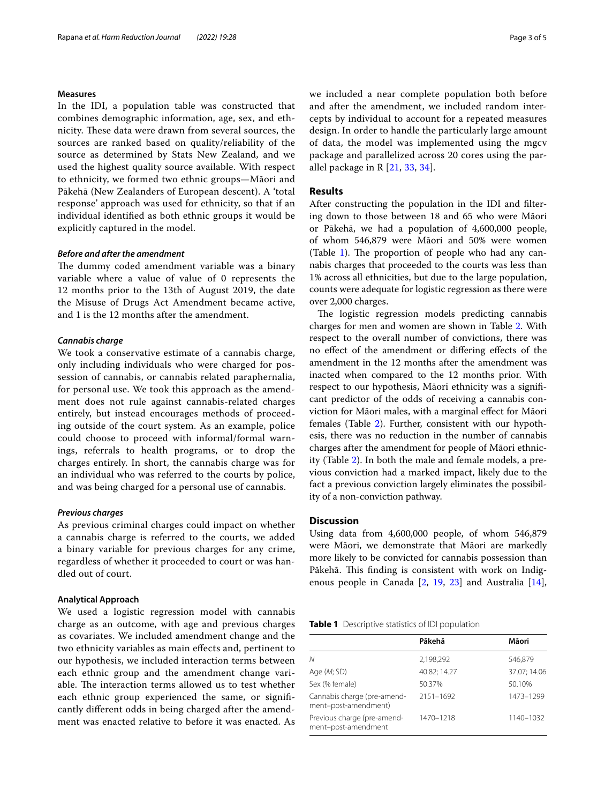#### **Measures**

In the IDI, a population table was constructed that combines demographic information, age, sex, and ethnicity. These data were drawn from several sources, the sources are ranked based on quality/reliability of the source as determined by Stats New Zealand, and we used the highest quality source available. With respect to ethnicity, we formed two ethnic groups—Māori and Pākehā (New Zealanders of European descent). A 'total response' approach was used for ethnicity, so that if an individual identifed as both ethnic groups it would be explicitly captured in the model.

#### *Before and after the amendment*

The dummy coded amendment variable was a binary variable where a value of value of 0 represents the 12 months prior to the 13th of August 2019, the date the Misuse of Drugs Act Amendment became active, and 1 is the 12 months after the amendment.

#### *Cannabis charge*

We took a conservative estimate of a cannabis charge, only including individuals who were charged for possession of cannabis, or cannabis related paraphernalia, for personal use. We took this approach as the amendment does not rule against cannabis-related charges entirely, but instead encourages methods of proceeding outside of the court system. As an example, police could choose to proceed with informal/formal warnings, referrals to health programs, or to drop the charges entirely. In short, the cannabis charge was for an individual who was referred to the courts by police, and was being charged for a personal use of cannabis.

#### *Previous charges*

As previous criminal charges could impact on whether a cannabis charge is referred to the courts, we added a binary variable for previous charges for any crime, regardless of whether it proceeded to court or was handled out of court.

#### **Analytical Approach**

We used a logistic regression model with cannabis charge as an outcome, with age and previous charges as covariates. We included amendment change and the two ethnicity variables as main efects and, pertinent to our hypothesis, we included interaction terms between each ethnic group and the amendment change variable. The interaction terms allowed us to test whether each ethnic group experienced the same, or signifcantly diferent odds in being charged after the amendment was enacted relative to before it was enacted. As we included a near complete population both before and after the amendment, we included random intercepts by individual to account for a repeated measures design. In order to handle the particularly large amount of data, the model was implemented using the mgcv package and parallelized across 20 cores using the parallel package in R [\[21](#page-4-26), [33](#page-4-27), [34](#page-4-28)].

#### **Results**

After constructing the population in the IDI and fltering down to those between 18 and 65 who were Māori or Pākehā, we had a population of 4,600,000 people, of whom 546,879 were Māori and 50% were women (Table [1](#page-2-0)). The proportion of people who had any cannabis charges that proceeded to the courts was less than 1% across all ethnicities, but due to the large population, counts were adequate for logistic regression as there were over 2,000 charges.

The logistic regression models predicting cannabis charges for men and women are shown in Table [2.](#page-3-0) With respect to the overall number of convictions, there was no efect of the amendment or difering efects of the amendment in the 12 months after the amendment was inacted when compared to the 12 months prior. With respect to our hypothesis, Māori ethnicity was a signifcant predictor of the odds of receiving a cannabis conviction for Māori males, with a marginal efect for Māori females (Table [2](#page-3-0)). Further, consistent with our hypothesis, there was no reduction in the number of cannabis charges after the amendment for people of Māori ethnicity (Table [2](#page-3-0)). In both the male and female models, a previous conviction had a marked impact, likely due to the fact a previous conviction largely eliminates the possibility of a non-conviction pathway.

# **Discussion**

Using data from 4,600,000 people, of whom 546,879 were Māori, we demonstrate that Māori are markedly more likely to be convicted for cannabis possession than Pākehā. This finding is consistent with work on Indigenous people in Canada [\[2,](#page-4-5) [19](#page-4-4), [23](#page-4-6)] and Australia [\[14](#page-4-7)],

<span id="page-2-0"></span>

| Table 1 Descriptive statistics of IDI population |  |
|--------------------------------------------------|--|
|--------------------------------------------------|--|

|                                                     | Pākehā       | Māori        |
|-----------------------------------------------------|--------------|--------------|
| Ν                                                   | 2,198,292    | 546,879      |
| Age (M; SD)                                         | 40.82; 14.27 | 37.07; 14.06 |
| Sex (% female)                                      | 50.37%       | 50.10%       |
| Cannabis charge (pre-amend-<br>ment-post-amendment) | 2151-1692    | 1473-1299    |
| Previous charge (pre-amend-<br>ment-post-amendment  | 1470-1218    | 1140-1032    |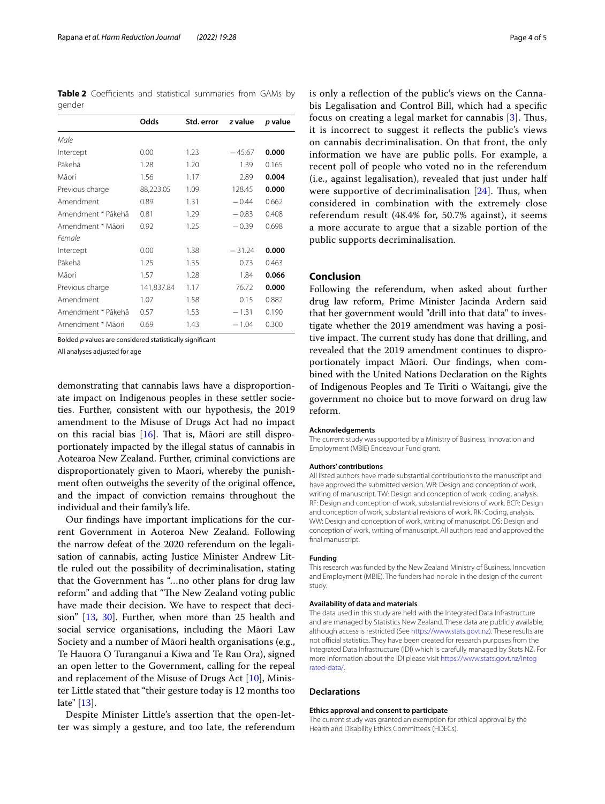<span id="page-3-0"></span>**Table 2** Coefficients and statistical summaries from GAMs by gender

|                    | Odds       | Std. error | z value  | p value |
|--------------------|------------|------------|----------|---------|
| Male               |            |            |          |         |
| Intercept          | 0.00       | 1.23       | $-45.67$ | 0.000   |
| Pākehā             | 1.28       | 1.20       | 1.39     | 0.165   |
| Māori              | 1.56       | 1.17       | 2.89     | 0.004   |
| Previous charge    | 88,223.05  | 1.09       | 128.45   | 0.000   |
| Amendment          | 0.89       | 1.31       | $-0.44$  | 0.662   |
| Amendment * Pākehā | 0.81       | 1.29       | $-0.83$  | 0.408   |
| Amendment * Māori  | 0.92       | 1.25       | $-0.39$  | 0.698   |
| Female             |            |            |          |         |
| Intercept          | 0.00       | 1.38       | $-31.24$ | 0.000   |
| Pākehā             | 1.25       | 1.35       | 0.73     | 0.463   |
| Māori              | 1.57       | 1.28       | 1.84     | 0.066   |
| Previous charge    | 141,837.84 | 1.17       | 76.72    | 0.000   |
| Amendment          | 1.07       | 1.58       | 0.15     | 0.882   |
| Amendment * Pākehā | 0.57       | 1.53       | $-1.31$  | 0.190   |
| Amendment * Māori  | 0.69       | 1.43       | $-1.04$  | 0.300   |

Bolded *p* values are considered statistically signifcant

All analyses adjusted for age

demonstrating that cannabis laws have a disproportionate impact on Indigenous peoples in these settler societies. Further, consistent with our hypothesis, the 2019 amendment to the Misuse of Drugs Act had no impact on this racial bias  $[16]$  $[16]$ . That is, Māori are still disproportionately impacted by the illegal status of cannabis in Aotearoa New Zealand. Further, criminal convictions are disproportionately given to Maori, whereby the punishment often outweighs the severity of the original ofence, and the impact of conviction remains throughout the individual and their family's life.

Our fndings have important implications for the current Government in Aoteroa New Zealand. Following the narrow defeat of the 2020 referendum on the legalisation of cannabis, acting Justice Minister Andrew Little ruled out the possibility of decriminalisation, stating that the Government has "…no other plans for drug law reform" and adding that "The New Zealand voting public have made their decision. We have to respect that decision" [\[13](#page-4-29), [30](#page-4-30)]. Further, when more than 25 health and social service organisations, including the Māori Law Society and a number of Māori health organisations (e.g., Te Hauora O Turanganui a Kiwa and Te Rau Ora), signed an open letter to the Government, calling for the repeal and replacement of the Misuse of Drugs Act [\[10](#page-4-31)], Minister Little stated that "their gesture today is 12 months too late" [[13\]](#page-4-29).

Despite Minister Little's assertion that the open-letter was simply a gesture, and too late, the referendum is only a refection of the public's views on the Cannabis Legalisation and Control Bill, which had a specifc focus on creating a legal market for cannabis  $[3]$  $[3]$  $[3]$ . Thus, it is incorrect to suggest it refects the public's views on cannabis decriminalisation. On that front, the only information we have are public polls. For example, a recent poll of people who voted no in the referendum (i.e., against legalisation), revealed that just under half were supportive of decriminalisation  $[24]$  $[24]$ . Thus, when considered in combination with the extremely close referendum result (48.4% for, 50.7% against), it seems a more accurate to argue that a sizable portion of the public supports decriminalisation.

## **Conclusion**

Following the referendum, when asked about further drug law reform, Prime Minister Jacinda Ardern said that her government would "drill into that data" to investigate whether the 2019 amendment was having a positive impact. The current study has done that drilling, and revealed that the 2019 amendment continues to disproportionately impact Māori. Our fndings, when combined with the United Nations Declaration on the Rights of Indigenous Peoples and Te Tiriti o Waitangi, give the government no choice but to move forward on drug law reform.

#### **Acknowledgements**

The current study was supported by a Ministry of Business, Innovation and Employment (MBIE) Endeavour Fund grant.

#### **Authors' contributions**

All listed authors have made substantial contributions to the manuscript and have approved the submitted version. WR: Design and conception of work, writing of manuscript. TW: Design and conception of work, coding, analysis. RF: Design and conception of work, substantial revisions of work. BCR: Design and conception of work, substantial revisions of work. RK: Coding, analysis. WW: Design and conception of work, writing of manuscript. DS: Design and conception of work, writing of manuscript. All authors read and approved the final manuscript.

#### **Funding**

This research was funded by the New Zealand Ministry of Business, Innovation and Employment (MBIE). The funders had no role in the design of the current study.

#### **Availability of data and materials**

The data used in this study are held with the Integrated Data Infrastructure and are managed by Statistics New Zealand. These data are publicly available, although access is restricted (See <https://www.stats.govt.nz>). These results are not official statistics. They have been created for research purposes from the Integrated Data Infrastructure (IDI) which is carefully managed by Stats NZ. For more information about the IDI please visit [https://www.stats.govt.nz/integ](https://www.stats.govt.nz/integrated-data/) [rated-data/.](https://www.stats.govt.nz/integrated-data/)

#### **Declarations**

#### **Ethics approval and consent to participate**

The current study was granted an exemption for ethical approval by the Health and Disability Ethics Committees (HDECs).